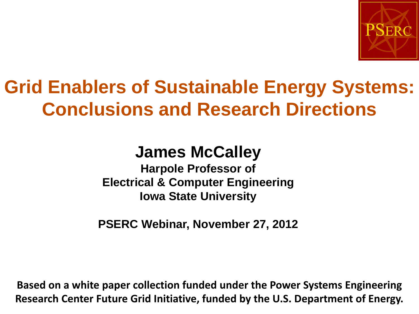

## **Grid Enablers of Sustainable Energy Systems: Conclusions and Research Directions**

#### **James McCalley**

**Harpole Professor of Electrical & Computer Engineering Iowa State University**

**PSERC Webinar, November 27, 2012**

Research Center Future Grid Initiative, funded by the U.S. Department of Energy. **Based on a white paper collection funded under the Power Systems Engineering**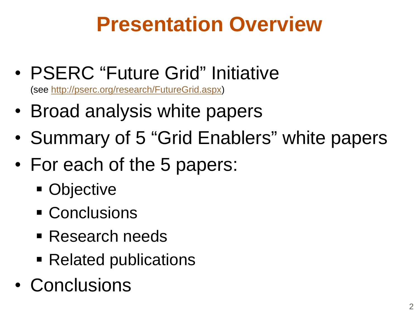# **Presentation Overview**

• PSERC "Future Grid" Initiative

(see [http://pserc.org/research/FutureGrid.aspx\)](http://pserc.org/research/FutureGrid.aspx)

- Broad analysis white papers
- Summary of 5 "Grid Enablers" white papers
- For each of the 5 papers:
	- Objective
	- Conclusions
	- Research needs
	- Related publications
- Conclusions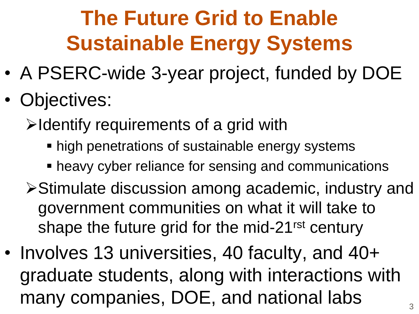# **The Future Grid to Enable Sustainable Energy Systems**

- A PSERC-wide 3-year project, funded by DOE
- Objectives:

 $\triangleright$  Identify requirements of a grid with

- **high penetrations of sustainable energy systems**
- heavy cyber reliance for sensing and communications
- **≻Stimulate discussion among academic, industry and** government communities on what it will take to shape the future grid for the mid-21<sup>rst</sup> century
- Involves 13 universities, 40 faculty, and 40+ graduate students, along with interactions with many companies, DOE, and national labs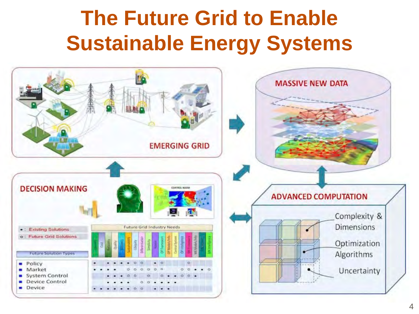# **The Future Grid to Enable Sustainable Energy Systems**

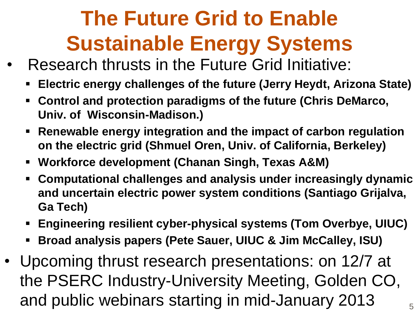# **The Future Grid to Enable Sustainable Energy Systems**

- Research thrusts in the Future Grid Initiative:
	- **Electric energy challenges of the future (Jerry Heydt, Arizona State)**
	- **Control and protection paradigms of the future (Chris DeMarco, Univ. of Wisconsin-Madison.)**
	- **Renewable energy integration and the impact of carbon regulation on the electric grid (Shmuel Oren, Univ. of California, Berkeley)**
	- **Workforce development (Chanan Singh, Texas A&M)**
	- **Computational challenges and analysis under increasingly dynamic and uncertain electric power system conditions (Santiago Grijalva, Ga Tech)**
	- **Engineering resilient cyber-physical systems (Tom Overbye, UIUC)**
	- **Broad analysis papers (Pete Sauer, UIUC & Jim McCalley, ISU)**
- Upcoming thrust research presentations: on 12/7 at the PSERC Industry-University Meeting, Golden CO, and public webinars starting in mid-January 2013  $\frac{1}{5}$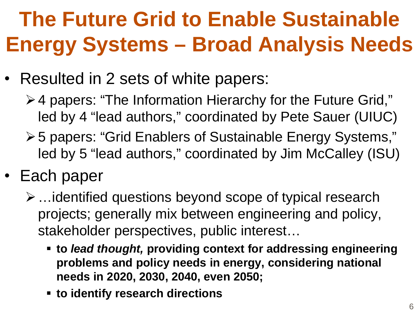# **The Future Grid to Enable Sustainable Energy Systems – Broad Analysis Needs**

- Resulted in 2 sets of white papers:
	- 4 papers: "The Information Hierarchy for the Future Grid," led by 4 "lead authors," coordinated by Pete Sauer (UIUC)
	- 5 papers: "Grid Enablers of Sustainable Energy Systems," led by 5 "lead authors," coordinated by Jim McCalley (ISU)
- Each paper
	- $\triangleright$  ... identified questions beyond scope of typical research projects; generally mix between engineering and policy, stakeholder perspectives, public interest…
		- **to** *lead thought,* **providing context for addressing engineering problems and policy needs in energy, considering national needs in 2020, 2030, 2040, even 2050;**
		- **to identify research directions**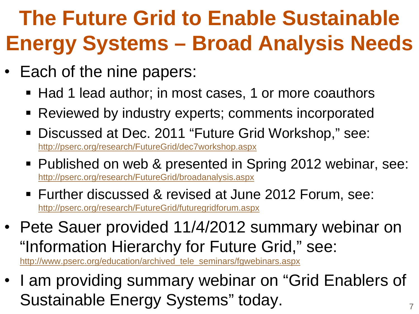# **The Future Grid to Enable Sustainable Energy Systems – Broad Analysis Needs**

- Each of the nine papers:
	- Had 1 lead author; in most cases, 1 or more coauthors
	- Reviewed by industry experts; comments incorporated
	- Discussed at Dec. 2011 "Future Grid Workshop," see: <http://pserc.org/research/FutureGrid/dec7workshop.aspx>
	- Published on web & presented in Spring 2012 webinar, see: [http://pserc.org/research/FutureGrid/broadanalysis.aspx](http://pserc.wisc.edu/research/FutureGrid/broadanalysis.aspx)
	- Further discussed & revised at June 2012 Forum, see: <http://pserc.org/research/FutureGrid/futuregridforum.aspx>
- Pete Sauer provided 11/4/2012 summary webinar on "Information Hierarchy for Future Grid," see:

[http://www.pserc.org/education/archived\\_tele\\_seminars/fgwebinars.aspx](http://www.pserc.org/education/archived_tele_seminars/fgwebinars.aspx) 

• I am providing summary webinar on "Grid Enablers of Sustainable Energy Systems" today.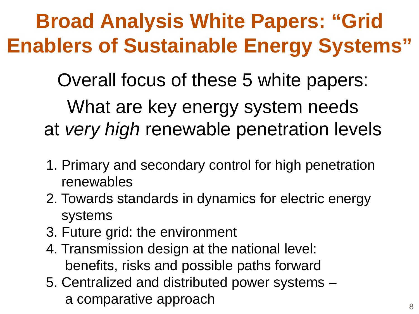# **Broad Analysis White Papers: "Grid Enablers of Sustainable Energy Systems"**

Overall focus of these 5 white papers:

What are key energy system needs at *very high* renewable penetration levels

- 1. Primary and secondary control for high penetration renewables
- 2. Towards standards in dynamics for electric energy systems
- 3. Future grid: the environment
- 4. Transmission design at the national level: benefits, risks and possible paths forward
- 5. Centralized and distributed power systems a comparative approach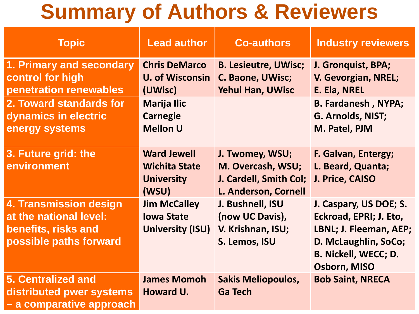## **Summary of Authors & Reviewers**

| <b>Topic</b>                                                                                      | <b>Lead author</b>                                                       | <b>Co-authors</b>                                                                      | <b>Industry reviewers</b>                                                                                                                                |
|---------------------------------------------------------------------------------------------------|--------------------------------------------------------------------------|----------------------------------------------------------------------------------------|----------------------------------------------------------------------------------------------------------------------------------------------------------|
| 1. Primary and secondary<br>control for high<br>penetration renewables                            | <b>Chris DeMarco</b><br><b>U. of Wisconsin</b><br>(UWisc)                | <b>B. Lesieutre, UWisc;</b><br>C. Baone, UWisc;<br><b>Yehui Han, UWisc</b>             | J. Gronquist, BPA;<br>V. Gevorgian, NREL;<br>E. Ela, NREL                                                                                                |
| 2. Toward standards for<br>dynamics in electric<br>energy systems                                 | <b>Marija Ilic</b><br><b>Carnegie</b><br><b>Mellon U</b>                 |                                                                                        | <b>B. Fardanesh, NYPA;</b><br>G. Arnolds, NIST;<br>M. Patel, PJM                                                                                         |
| 3. Future grid: the<br>environment                                                                | <b>Ward Jewell</b><br><b>Wichita State</b><br><b>University</b><br>(WSU) | J. Twomey, WSU;<br>M. Overcash, WSU;<br>J. Cardell, Smith Col;<br>L. Anderson, Cornell | F. Galvan, Entergy;<br>L. Beard, Quanta;<br>J. Price, CAISO                                                                                              |
| 4. Transmission design<br>at the national level:<br>benefits, risks and<br>possible paths forward | <b>Jim McCalley</b><br><b>Iowa State</b><br><b>University (ISU)</b>      | J. Bushnell, ISU<br>(now UC Davis),<br>V. Krishnan, ISU;<br>S. Lemos, ISU              | J. Caspary, US DOE; S.<br>Eckroad, EPRI; J. Eto,<br>LBNL; J. Fleeman, AEP;<br>D. McLaughlin, SoCo;<br><b>B. Nickell, WECC; D.</b><br><b>Osborn, MISO</b> |
| <b>5. Centralized and</b><br>distributed pwer systems<br>- a comparative approach                 | <b>James Momoh</b><br>Howard U.                                          | <b>Sakis Meliopoulos,</b><br><b>Ga Tech</b>                                            | <b>Bob Saint, NRECA</b>                                                                                                                                  |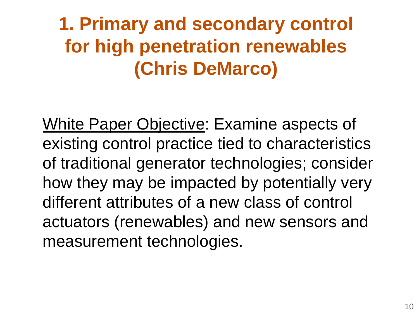White Paper Objective: Examine aspects of existing control practice tied to characteristics of traditional generator technologies; consider how they may be impacted by potentially very different attributes of a new class of control actuators (renewables) and new sensors and measurement technologies.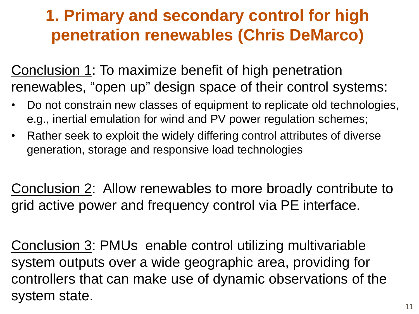Conclusion 1: To maximize benefit of high penetration renewables, "open up" design space of their control systems:

- Do not constrain new classes of equipment to replicate old technologies, e.g., inertial emulation for wind and PV power regulation schemes;
- Rather seek to exploit the widely differing control attributes of diverse generation, storage and responsive load technologies

Conclusion 2: Allow renewables to more broadly contribute to grid active power and frequency control via PE interface.

Conclusion 3: PMUs enable control utilizing multivariable system outputs over a wide geographic area, providing for controllers that can make use of dynamic observations of the system state.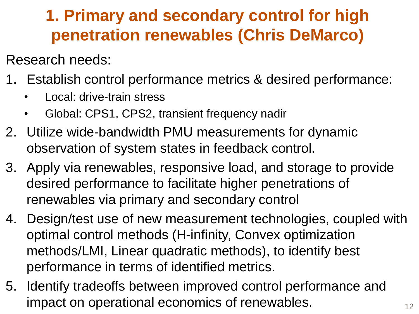Research needs:

- 1. Establish control performance metrics & desired performance:
	- Local: drive-train stress
	- Global: CPS1, CPS2, transient frequency nadir
- 2. Utilize wide-bandwidth PMU measurements for dynamic observation of system states in feedback control.
- 3. Apply via renewables, responsive load, and storage to provide desired performance to facilitate higher penetrations of renewables via primary and secondary control
- 4. Design/test use of new measurement technologies, coupled with optimal control methods (H-infinity, Convex optimization methods/LMI, Linear quadratic methods), to identify best performance in terms of identified metrics.
- 5. Identify tradeoffs between improved control performance and impact on operational economics of renewables.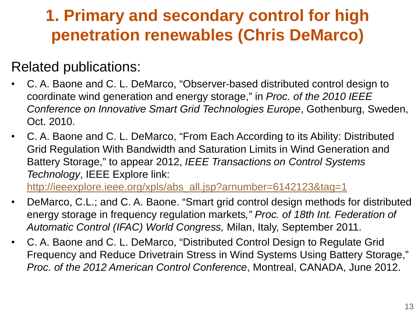#### Related publications:

- C. A. Baone and C. L. DeMarco, "Observer-based distributed control design to coordinate wind generation and energy storage," in *Proc. of the 2010 IEEE Conference on Innovative Smart Grid Technologies Europe*, Gothenburg, Sweden, Oct. 2010.
- C. A. Baone and C. L. DeMarco, "From Each According to its Ability: Distributed Grid Regulation With Bandwidth and Saturation Limits in Wind Generation and Battery Storage," to appear 2012, *IEEE Transactions on Control Systems Technology*, IEEE Explore link: [http://ieeexplore.ieee.org/xpls/abs\\_all.jsp?arnumber=6142123&tag=1](http://ieeexplore.ieee.org/xpls/abs_all.jsp?arnumber=6142123&tag=1)

• DeMarco, C.L.; and C. A. Baone. "Smart grid control design methods for distributed energy storage in frequency regulation markets*," Proc. of 18th Int. Federation of Automatic Control (IFAC) World Congress,* Milan, Italy, September 2011.

• C. A. Baone and C. L. DeMarco, "Distributed Control Design to Regulate Grid Frequency and Reduce Drivetrain Stress in Wind Systems Using Battery Storage," *Proc. of the 2012 American Control Conference*, Montreal, CANADA, June 2012.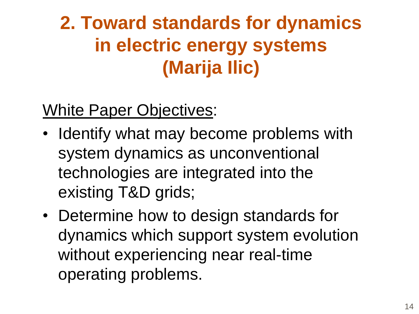#### White Paper Objectives:

- Identify what may become problems with system dynamics as unconventional technologies are integrated into the existing T&D grids;
- Determine how to design standards for dynamics which support system evolution without experiencing near real-time operating problems.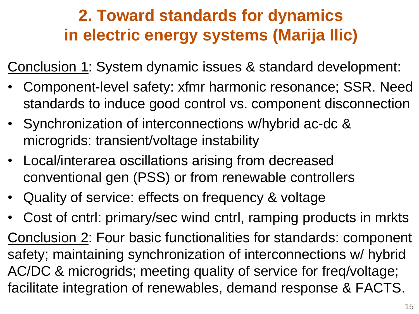Conclusion 1: System dynamic issues & standard development:

- Component-level safety: xfmr harmonic resonance; SSR. Need standards to induce good control vs. component disconnection
- Synchronization of interconnections w/hybrid ac-dc & microgrids: transient/voltage instability
- Local/interarea oscillations arising from decreased conventional gen (PSS) or from renewable controllers
- Quality of service: effects on frequency & voltage
- Cost of cntrl: primary/sec wind cntrl, ramping products in mrkts Conclusion 2: Four basic functionalities for standards: component safety; maintaining synchronization of interconnections w/ hybrid AC/DC & microgrids; meeting quality of service for freq/voltage; facilitate integration of renewables, demand response & FACTS.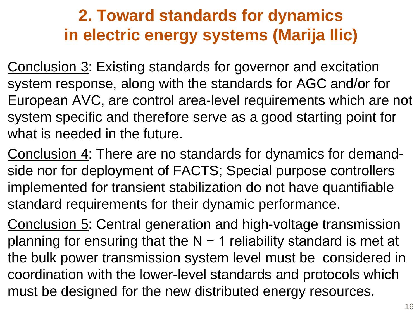Conclusion 3: Existing standards for governor and excitation system response, along with the standards for AGC and/or for European AVC, are control area-level requirements which are not system specific and therefore serve as a good starting point for what is needed in the future.

Conclusion 4: There are no standards for dynamics for demandside nor for deployment of FACTS; Special purpose controllers implemented for transient stabilization do not have quantifiable standard requirements for their dynamic performance.

Conclusion 5: Central generation and high-voltage transmission planning for ensuring that the N − 1 reliability standard is met at the bulk power transmission system level must be considered in coordination with the lower-level standards and protocols which must be designed for the new distributed energy resources.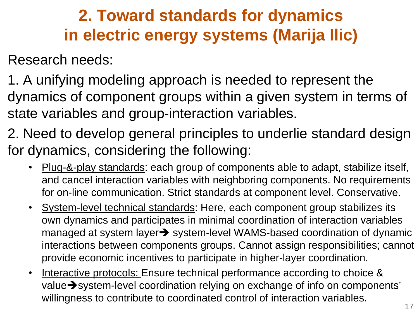Research needs:

1. A unifying modeling approach is needed to represent the dynamics of component groups within a given system in terms of state variables and group-interaction variables.

- 2. Need to develop general principles to underlie standard design for dynamics, considering the following:
	- Plug-&-play standards: each group of components able to adapt, stabilize itself, and cancel interaction variables with neighboring components. No requirements for on-line communication. Strict standards at component level. Conservative.
	- System-level technical standards: Here, each component group stabilizes its own dynamics and participates in minimal coordination of interaction variables managed at system layer $\rightarrow$  system-level WAMS-based coordination of dynamic interactions between components groups. Cannot assign responsibilities; cannot provide economic incentives to participate in higher-layer coordination.
	- Interactive protocols: Ensure technical performance according to choice & value System-level coordination relying on exchange of info on components' willingness to contribute to coordinated control of interaction variables.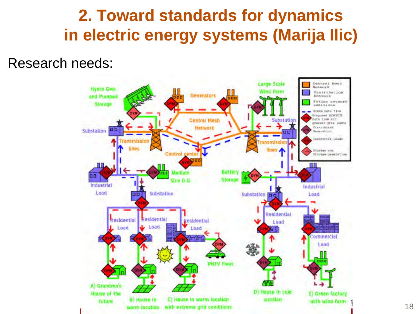Research needs:

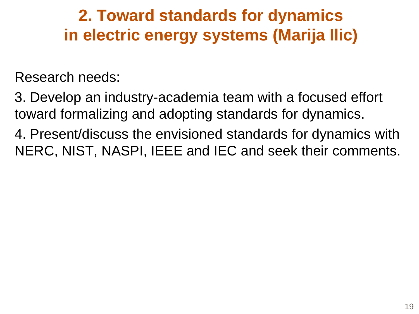Research needs:

3. Develop an industry-academia team with a focused effort toward formalizing and adopting standards for dynamics.

4. Present/discuss the envisioned standards for dynamics with NERC, NIST, NASPI, IEEE and IEC and seek their comments.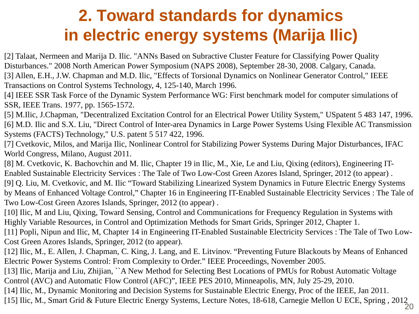[2] Talaat, Nermeen and Marija D. Ilic. "ANNs Based on Subractive Cluster Feature for Classifying Power Quality Disturbances." 2008 North American Power Symposium (NAPS 2008), September 28-30, 2008. Calgary, Canada.

[3] Allen, E.H., J.W. Chapman and M.D. Ilic, "Effects of Torsional Dynamics on Nonlinear Generator Control," IEEE Transactions on Control Systems Technology, 4, 125-140, March 1996.

[4] IEEE SSR Task Force of the Dynamic System Performance WG: First benchmark model for computer simulations of SSR, IEEE Trans. 1977, pp. 1565-1572.

[5] M.Ilic, J.Chapman, "Decentralized Excitation Control for an Electrical Power Utility System," USpatent 5 483 147, 1996. [6] M.D. Ilic and S.X. Liu, "Direct Control of Inter-area Dynamics in Large Power Systems Using Flexible AC Transmission Systems (FACTS) Technology," U.S. patent 5 517 422, 1996.

[7] Cvetkovic, Milos, and Marija Ilic, Nonlinear Control for Stabilizing Power Systems During Major Disturbances, IFAC World Congress, Milano, August 2011.

[8] M. Cvetkovic, K. Bachovchin and M. Ilic, Chapter 19 in Ilic, M., Xie, Le and Liu, Qixing (editors), Engineering IT-Enabled Sustainable Electricity Services : The Tale of Two Low-Cost Green Azores Island, Springer, 2012 (to appear) . [9] Q. Liu, M. Cvetkovic, and M. Ilic "Toward Stabilizing Linearized System Dynamics in Future Electric Energy Systems by Means of Enhanced Voltage Control," Chapter 16 in Engineering IT-Enabled Sustainable Electricity Services : The Tale of Two Low-Cost Green Azores Islands, Springer, 2012 (to appear) .

[10] Ilic, M and Liu, Qixing, Toward Sensing, Control and Communications for Frequency Regulation in Systems with Highly Variable Resources, in Control and Optimization Methods for Smart Grids, Springer 2012, Chapter 1.

[11] Popli, Nipun and Ilic, M, Chapter 14 in Engineering IT-Enabled Sustainable Electricity Services : The Tale of Two Low-Cost Green Azores Islands, Springer, 2012 (to appear).

[12] Ilic, M., E. Allen, J. Chapman, C. King, J. Lang, and E. Litvinov. "Preventing Future Blackouts by Means of Enhanced Electric Power Systems Control: From Complexity to Order." IEEE Proceedings, November 2005.

[13] Ilic, Marija and Liu, Zhijian, ``A New Method for Selecting Best Locations of PMUs for Robust Automatic Voltage Control (AVC) and Automatic Flow Control (AFC)", IEEE PES 2010, Minneapolis, MN, July 25-29, 2010.

[14] Ilic, M., Dynamic Monitoring and Decision Systems for Sustainable Electric Energy, Proc of the IEEE, Jan 2011.

20 [15] Ilic, M., Smart Grid & Future Electric Energy Systems, Lecture Notes, 18-618, Carnegie Mellon U ECE, Spring , 2012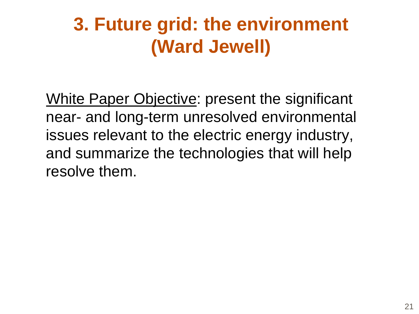White Paper Objective: present the significant near- and long-term unresolved environmental issues relevant to the electric energy industry, and summarize the technologies that will help resolve them.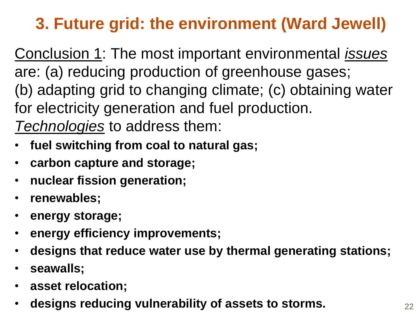Conclusion 1: The most important environmental *issues* are: (a) reducing production of greenhouse gases; (b) adapting grid to changing climate; (c) obtaining water for electricity generation and fuel production. *Technologies* to address them:

- **fuel switching from coal to natural gas;**
- **carbon capture and storage;**
- **nuclear fission generation;**
- **renewables;**
- **energy storage;**
- **energy efficiency improvements;**
- **designs that reduce water use by thermal generating stations;**
- **seawalls;**
- **asset relocation;**
- **designs reducing vulnerability of assets to storms.**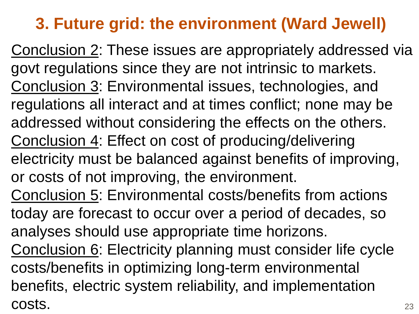23 Conclusion 2: These issues are appropriately addressed via govt regulations since they are not intrinsic to markets. Conclusion 3: Environmental issues, technologies, and regulations all interact and at times conflict; none may be addressed without considering the effects on the others. Conclusion 4: Effect on cost of producing/delivering electricity must be balanced against benefits of improving, or costs of not improving, the environment. Conclusion 5: Environmental costs/benefits from actions today are forecast to occur over a period of decades, so analyses should use appropriate time horizons. Conclusion 6: Electricity planning must consider life cycle costs/benefits in optimizing long-term environmental benefits, electric system reliability, and implementation costs.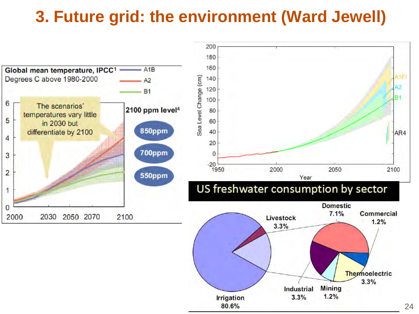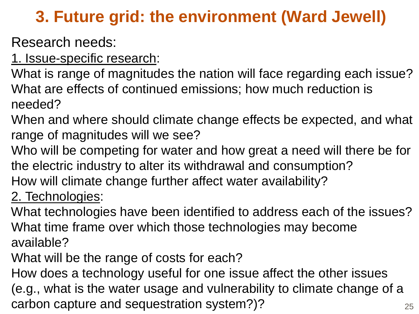Research needs:

1. Issue-specific research:

What is range of magnitudes the nation will face regarding each issue? What are effects of continued emissions; how much reduction is needed?

- When and where should climate change effects be expected, and what range of magnitudes will we see?
- Who will be competing for water and how great a need will there be for the electric industry to alter its withdrawal and consumption?
- How will climate change further affect water availability?

#### 2. Technologies:

What technologies have been identified to address each of the issues? What time frame over which those technologies may become available?

What will be the range of costs for each?

How does a technology useful for one issue affect the other issues (e.g., what is the water usage and vulnerability to climate change of a carbon capture and sequestration system?)?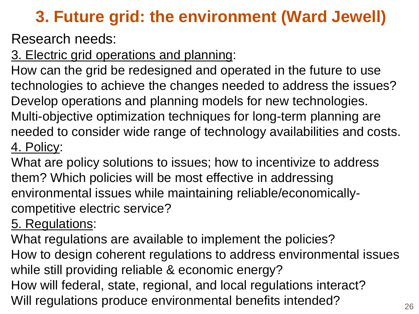Research needs:

3. Electric grid operations and planning:

How can the grid be redesigned and operated in the future to use technologies to achieve the changes needed to address the issues? Develop operations and planning models for new technologies. Multi-objective optimization techniques for long-term planning are needed to consider wide range of technology availabilities and costs. 4. Policy:

What are policy solutions to issues; how to incentivize to address them? Which policies will be most effective in addressing environmental issues while maintaining reliable/economicallycompetitive electric service?

5. Regulations:

What regulations are available to implement the policies? How to design coherent regulations to address environmental issues while still providing reliable & economic energy? How will federal, state, regional, and local regulations interact? Will regulations produce environmental benefits intended?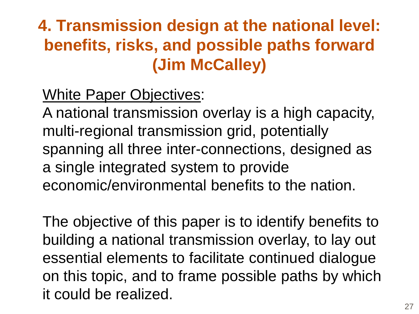White Paper Objectives:

A national transmission overlay is a high capacity, multi-regional transmission grid, potentially spanning all three inter-connections, designed as a single integrated system to provide economic/environmental benefits to the nation.

The objective of this paper is to identify benefits to building a national transmission overlay, to lay out essential elements to facilitate continued dialogue on this topic, and to frame possible paths by which it could be realized.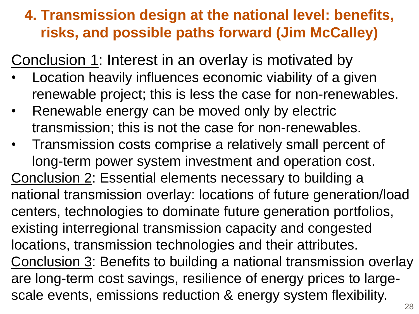Conclusion 1: Interest in an overlay is motivated by

- Location heavily influences economic viability of a given renewable project; this is less the case for non-renewables.
- Renewable energy can be moved only by electric transmission; this is not the case for non-renewables.
- Transmission costs comprise a relatively small percent of long-term power system investment and operation cost. Conclusion 2: Essential elements necessary to building a national transmission overlay: locations of future generation/load centers, technologies to dominate future generation portfolios, existing interregional transmission capacity and congested locations, transmission technologies and their attributes. Conclusion 3: Benefits to building a national transmission overlay are long-term cost savings, resilience of energy prices to largescale events, emissions reduction & energy system flexibility.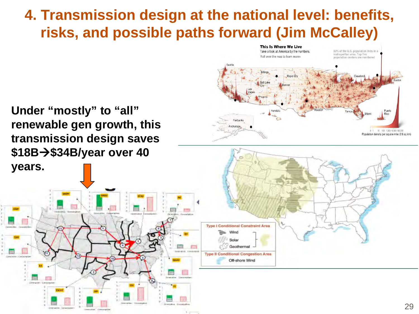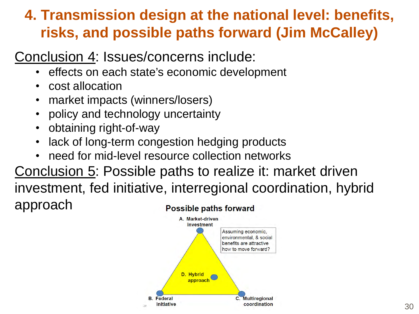#### Conclusion 4: Issues/concerns include:

- effects on each state's economic development
- cost allocation
- market impacts (winners/losers)
- policy and technology uncertainty
- obtaining right-of-way
- lack of long-term congestion hedging products
- need for mid-level resource collection networks

Conclusion 5: Possible paths to realize it: market driven

investment, fed initiative, interregional coordination, hybrid approach **Possible paths forward** 

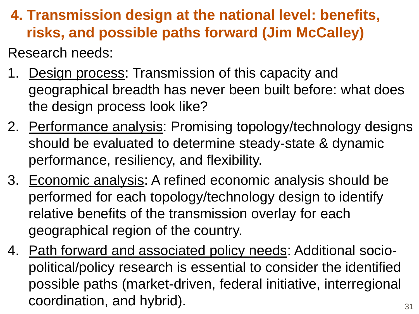Research needs:

- 1. Design process: Transmission of this capacity and geographical breadth has never been built before: what does the design process look like?
- 2. Performance analysis: Promising topology/technology designs should be evaluated to determine steady-state & dynamic performance, resiliency, and flexibility.
- 3. Economic analysis: A refined economic analysis should be performed for each topology/technology design to identify relative benefits of the transmission overlay for each geographical region of the country.
- 4. Path forward and associated policy needs: Additional sociopolitical/policy research is essential to consider the identified possible paths (market-driven, federal initiative, interregional coordination, and hybrid).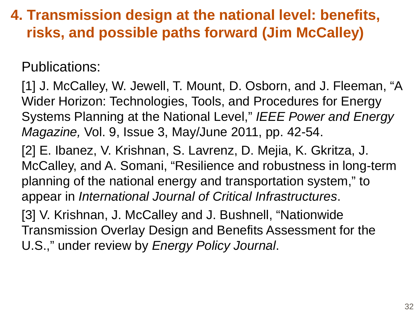Publications:

[1] J. McCalley, W. Jewell, T. Mount, D. Osborn, and J. Fleeman, "A Wider Horizon: Technologies, Tools, and Procedures for Energy Systems Planning at the National Level," *IEEE Power and Energy Magazine,* Vol. 9, Issue 3, May/June 2011, pp. 42-54.

[2] E. Ibanez, V. Krishnan, S. Lavrenz, D. Mejia, K. Gkritza, J. McCalley, and A. Somani, "Resilience and robustness in long-term planning of the national energy and transportation system," to appear in *International Journal of Critical Infrastructures*.

[3] V. Krishnan, J. McCalley and J. Bushnell, "Nationwide Transmission Overlay Design and Benefits Assessment for the U.S.," under review by *Energy Policy Journal*.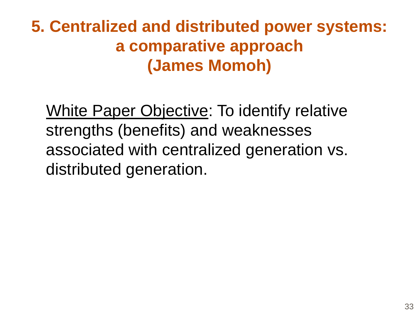**5. Centralized and distributed power systems: a comparative approach (James Momoh)**

White Paper Objective: To identify relative strengths (benefits) and weaknesses associated with centralized generation vs. distributed generation.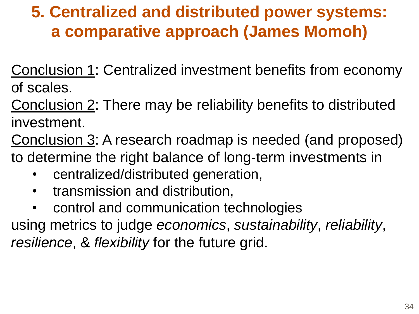### **5. Centralized and distributed power systems: a comparative approach (James Momoh)**

Conclusion 1: Centralized investment benefits from economy of scales.

Conclusion 2: There may be reliability benefits to distributed investment.

Conclusion 3: A research roadmap is needed (and proposed) to determine the right balance of long-term investments in

- centralized/distributed generation,
- transmission and distribution,
- control and communication technologies

using metrics to judge *economics*, *sustainability*, *reliability*, *resilience*, & *flexibility* for the future grid.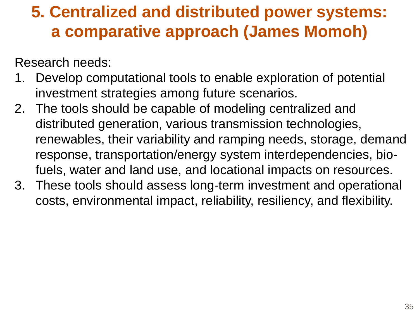### **5. Centralized and distributed power systems: a comparative approach (James Momoh)**

Research needs:

- 1. Develop computational tools to enable exploration of potential investment strategies among future scenarios.
- 2. The tools should be capable of modeling centralized and distributed generation, various transmission technologies, renewables, their variability and ramping needs, storage, demand response, transportation/energy system interdependencies, biofuels, water and land use, and locational impacts on resources.
- 3. These tools should assess long-term investment and operational costs, environmental impact, reliability, resiliency, and flexibility.